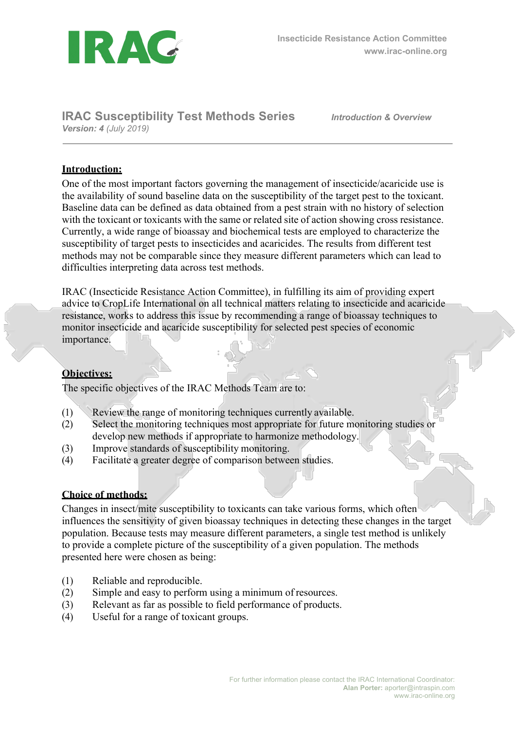

## **IRAC Susceptibility Test Methods Series** *Version: 4 (July 2019)*

*Introduction & Overview*

## **Introduction:**

One of the most important factors governing the management of insecticide/acaricide use is the availability of sound baseline data on the susceptibility of the target pest to the toxicant. Baseline data can be defined as data obtained from a pest strain with no history of selection with the toxicant or toxicants with the same or related site of action showing cross resistance. Currently, a wide range of bioassay and biochemical tests are employed to characterize the susceptibility of target pests to insecticides and acaricides. The results from different test methods may not be comparable since they measure different parameters which can lead to difficulties interpreting data across test methods.

IRAC (Insecticide Resistance Action Committee), in fulfilling its aim of providing expert advice to CropLife International on all technical matters relating to insecticide and acaricide resistance, works to address this issue by recommending a range of bioassay techniques to monitor insecticide and acaricide susceptibility for selected pest species of economic importance.

## **Objectives:**

The specific objectives of the IRAC Methods Team are to:

- (1) Review the range of monitoring techniques currently available.
- (2) Select the monitoring techniques most appropriate for future monitoring studies or develop new methods if appropriate to harmonize methodology.
- (3) Improve standards of susceptibility monitoring.
- (4) Facilitate a greater degree of comparison between studies.

#### **Choice of methods:**

Changes in insect/mite susceptibility to toxicants can take various forms, which often influences the sensitivity of given bioassay techniques in detecting these changes in the target population. Because tests may measure different parameters, a single test method is unlikely to provide a complete picture of the susceptibility of a given population. The methods presented here were chosen as being:

- (1) Reliable and reproducible.
- (2) Simple and easy to perform using a minimum of resources.
- (3) Relevant as far as possible to field performance of products.
- (4) Useful for a range of toxicant groups.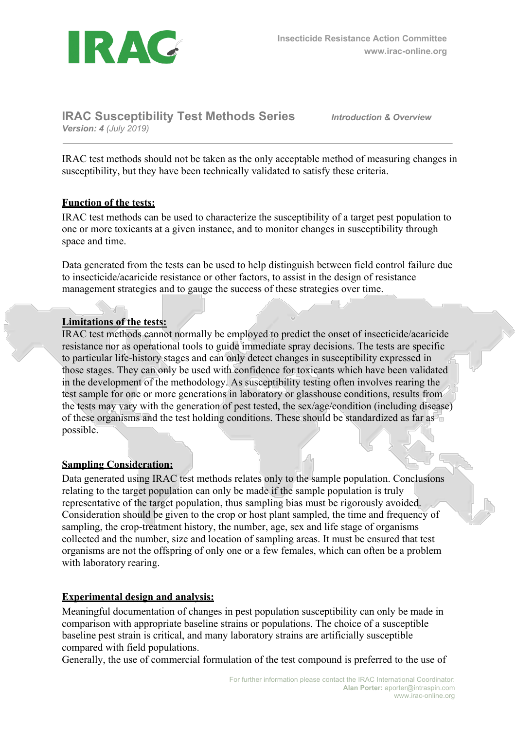

**IRAC Susceptibility Test Methods Series** *Version: 4 (July 2019)*

*Introduction & Overview*

IRAC test methods should not be taken as the only acceptable method of measuring changes in susceptibility, but they have been technically validated to satisfy these criteria.

### **Function of the tests:**

IRAC test methods can be used to characterize the susceptibility of a target pest population to one or more toxicants at a given instance, and to monitor changes in susceptibility through space and time.

Data generated from the tests can be used to help distinguish between field control failure due to insecticide/acaricide resistance or other factors, to assist in the design of resistance management strategies and to gauge the success of these strategies over time.

## **Limitations of the tests:**

IRAC test methods cannot normally be employed to predict the onset of insecticide/acaricide resistance nor as operational tools to guide immediate spray decisions. The tests are specific to particular life-history stages and can only detect changes in susceptibility expressed in those stages. They can only be used with confidence for toxicants which have been validated in the development of the methodology. As susceptibility testing often involves rearing the test sample for one or more generations in laboratory or glasshouse conditions, results from the tests may vary with the generation of pest tested, the sex/age/condition (including disease) of these organisms and the test holding conditions. These should be standardized as far as possible.

#### **Sampling Consideration:**

Data generated using IRAC test methods relates only to the sample population. Conclusions relating to the target population can only be made if the sample population is truly representative of the target population, thus sampling bias must be rigorously avoided. Consideration should be given to the crop or host plant sampled, the time and frequency of sampling, the crop-treatment history, the number, age, sex and life stage of organisms collected and the number, size and location of sampling areas. It must be ensured that test organisms are not the offspring of only one or a few females, which can often be a problem with laboratory rearing.

#### **Experimental design and analysis:**

Meaningful documentation of changes in pest population susceptibility can only be made in comparison with appropriate baseline strains or populations. The choice of a susceptible baseline pest strain is critical, and many laboratory strains are artificially susceptible compared with field populations.

Generally, the use of commercial formulation of the test compound is preferred to the use of